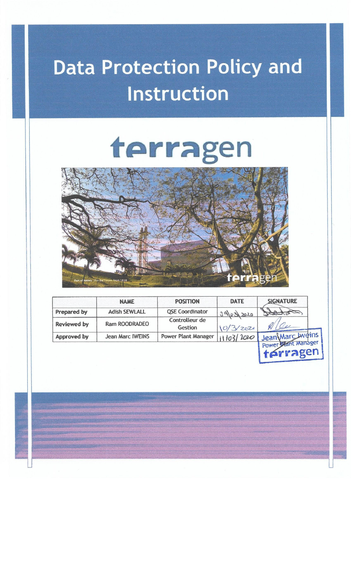## **Data Protection Policy and** Instruction

# terragen



|                    | <b>NAME</b>             | <b>POSITION</b>            | <b>DATE</b> | <b>SIGNATURE</b>               |
|--------------------|-------------------------|----------------------------|-------------|--------------------------------|
| Prepared by        | <b>Adish SEWLALL</b>    | <b>QSE Coordinator</b>     | 39/03/2020  |                                |
| <b>Reviewed by</b> | Ram ROODRADEO           | Controlleur de<br>Gestion  | 10/3/2020   |                                |
| Approved by        | <b>Jean Marc IWEINS</b> | <b>Power Plant Manager</b> | 111031200   | I Jean Marc Lweins             |
|                    |                         |                            |             | Power Mant Manager<br>térragen |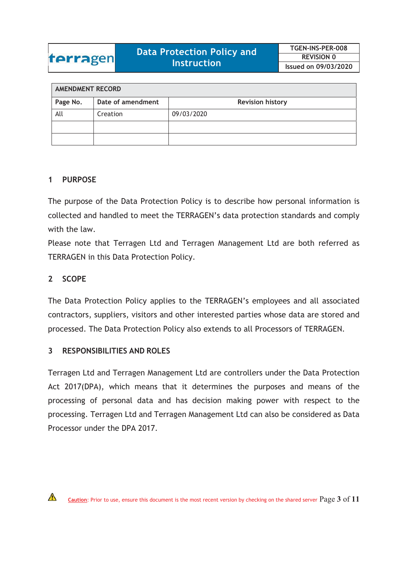| <b>AMENDMENT RECORD</b> |                   |                         |  |  |  |  |
|-------------------------|-------------------|-------------------------|--|--|--|--|
| Page No.                | Date of amendment | <b>Revision history</b> |  |  |  |  |
| All                     | Creation          | 09/03/2020              |  |  |  |  |
|                         |                   |                         |  |  |  |  |
|                         |                   |                         |  |  |  |  |

### **1 PURPOSE**

The purpose of the Data Protection Policy is to describe how personal information is collected and handled to meet the TERRAGEN's data protection standards and comply with the law.

Please note that Terragen Ltd and Terragen Management Ltd are both referred as TERRAGEN in this Data Protection Policy.

### **2 SCOPE**

The Data Protection Policy applies to the TERRAGEN's employees and all associated contractors, suppliers, visitors and other interested parties whose data are stored and processed. The Data Protection Policy also extends to all Processors of TERRAGEN.

### **3 RESPONSIBILITIES AND ROLES**

Terragen Ltd and Terragen Management Ltd are controllers under the Data Protection Act 2017(DPA), which means that it determines the purposes and means of the processing of personal data and has decision making power with respect to the processing. Terragen Ltd and Terragen Management Ltd can also be considered as Data Processor under the DPA 2017.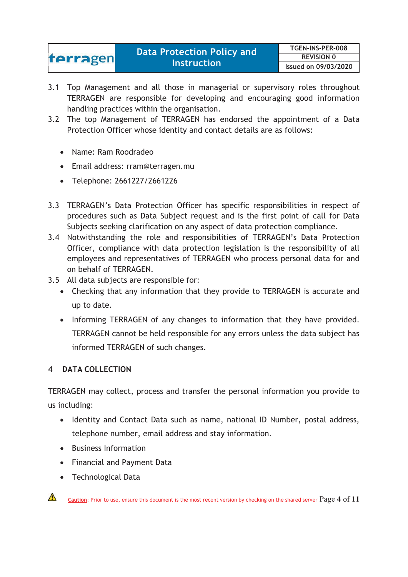| terragen | <b>Data Protection Policy and</b> | TGEN-INS-PER-008     |
|----------|-----------------------------------|----------------------|
|          |                                   | <b>REVISION 0</b>    |
|          | <b>Instruction</b>                | Issued on 09/03/2020 |

- 3.1 Top Management and all those in managerial or supervisory roles throughout TERRAGEN are responsible for developing and encouraging good information handling practices within the organisation.
- 3.2 The top Management of TERRAGEN has endorsed the appointment of a Data Protection Officer whose identity and contact details are as follows:
	- Name: Ram Roodradeo
	- Email address: rram@terragen.mu
	- Telephone: 2661227/2661226
- 3.3 TERRAGEN's Data Protection Officer has specific responsibilities in respect of procedures such as Data Subject request and is the first point of call for Data Subjects seeking clarification on any aspect of data protection compliance.
- 3.4 Notwithstanding the role and responsibilities of TERRAGEN's Data Protection Officer, compliance with data protection legislation is the responsibility of all employees and representatives of TERRAGEN who process personal data for and on behalf of TERRAGEN.
- 3.5 All data subjects are responsible for:
	- Checking that any information that they provide to TERRAGEN is accurate and up to date.
	- Informing TERRAGEN of any changes to information that they have provided. TERRAGEN cannot be held responsible for any errors unless the data subject has informed TERRAGEN of such changes.

### **4 DATA COLLECTION**

TERRAGEN may collect, process and transfer the personal information you provide to us including:

- Identity and Contact Data such as name, national ID Number, postal address, telephone number, email address and stay information.
- Business Information
- Financial and Payment Data
- Technological Data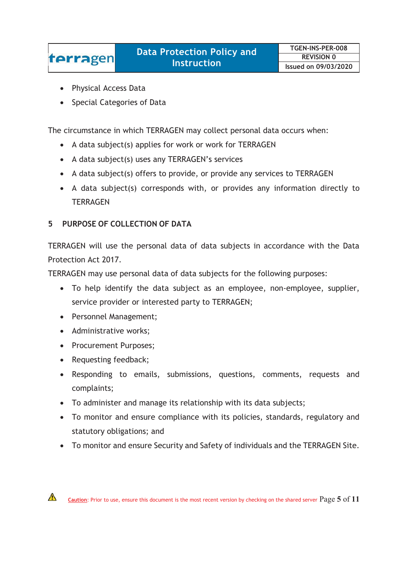-Physical Access Data

terragen

- Special Categories of Data

The circumstance in which TERRAGEN may collect personal data occurs when:

- A data subject(s) applies for work or work for TERRAGEN
- A data subject(s) uses any TERRAGEN's services
- A data subject(s) offers to provide, or provide any services to TERRAGEN
- A data subject(s) corresponds with, or provides any information directly to **TERRAGEN**

### **5 PURPOSE OF COLLECTION OF DATA**

TERRAGEN will use the personal data of data subjects in accordance with the Data Protection Act 2017.

TERRAGEN may use personal data of data subjects for the following purposes:

- To help identify the data subject as an employee, non-employee, supplier, service provider or interested party to TERRAGEN;
- Personnel Management;
- Administrative works;
- Procurement Purposes;
- Requesting feedback;
- Responding to emails, submissions, questions, comments, requests and complaints;
- To administer and manage its relationship with its data subjects;
- To monitor and ensure compliance with its policies, standards, regulatory and statutory obligations; and
- To monitor and ensure Security and Safety of individuals and the TERRAGEN Site.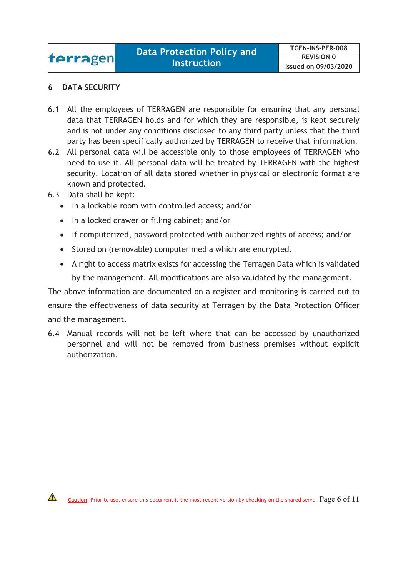### **6 DATA SECURITY**

- 6.1 All the employees of TERRAGEN are responsible for ensuring that any personal data that TERRAGEN holds and for which they are responsible, is kept securely and is not under any conditions disclosed to any third party unless that the third party has been specifically authorized by TERRAGEN to receive that information.
- **6.2** All personal data will be accessible only to those employees of TERRAGEN who need to use it. All personal data will be treated by TERRAGEN with the highest security. Location of all data stored whether in physical or electronic format are known and protected.
- 6.3 Data shall be kept:

 $\bigwedge$ 

- In a lockable room with controlled access; and/or
- In a locked drawer or filling cabinet; and/or
- If computerized, password protected with authorized rights of access; and/or
- Stored on (removable) computer media which are encrypted.
- A right to access matrix exists for accessing the Terragen Data which is validated by the management. All modifications are also validated by the management.

The above information are documented on a register and monitoring is carried out to ensure the effectiveness of data security at Terragen by the Data Protection Officer and the management.

6.4 Manual records will not be left where that can be accessed by unauthorized personnel and will not be removed from business premises without explicit authorization.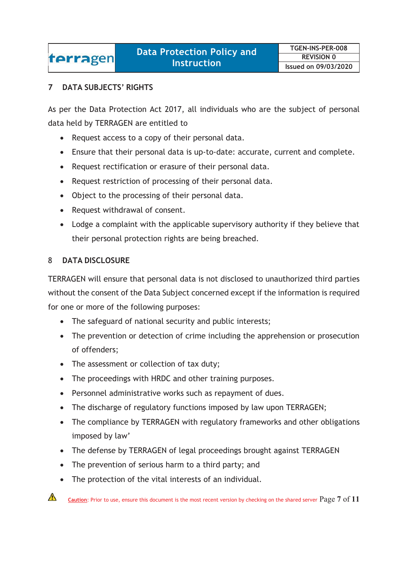### terragen

### **7 DATA SUBJECTS' RIGHTS**

As per the Data Protection Act 2017, all individuals who are the subject of personal data held by TERRAGEN are entitled to

- Request access to a copy of their personal data.
- Ensure that their personal data is up-to-date: accurate, current and complete.
- Request rectification or erasure of their personal data.
- Request restriction of processing of their personal data.
- Object to the processing of their personal data.
- Request withdrawal of consent.
- Lodge a complaint with the applicable supervisory authority if they believe that their personal protection rights are being breached.

### 8 **DATA DISCLOSURE**

TERRAGEN will ensure that personal data is not disclosed to unauthorized third parties without the consent of the Data Subject concerned except if the information is required for one or more of the following purposes:

- The safeguard of national security and public interests;
- The prevention or detection of crime including the apprehension or prosecution of offenders;
- The assessment or collection of tax duty;
- The proceedings with HRDC and other training purposes.
- Personnel administrative works such as repayment of dues.
- The discharge of regulatory functions imposed by law upon TERRAGEN;
- The compliance by TERRAGEN with regulatory frameworks and other obligations imposed by law'
- The defense by TERRAGEN of legal proceedings brought against TERRAGEN
- The prevention of serious harm to a third party; and
- $\bullet$ The protection of the vital interests of an individual.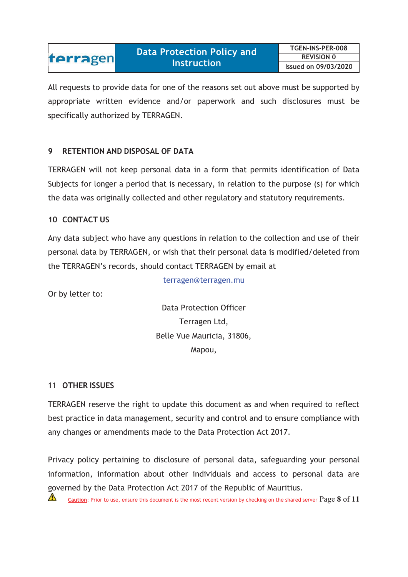All requests to provide data for one of the reasons set out above must be supported by appropriate written evidence and/or paperwork and such disclosures must be specifically authorized by TERRAGEN.

### **9 RETENTION AND DISPOSAL OF DATA**

TERRAGEN will not keep personal data in a form that permits identification of Data Subjects for longer a period that is necessary, in relation to the purpose (s) for which the data was originally collected and other regulatory and statutory requirements.

### **10 CONTACT US**

terragen

Any data subject who have any questions in relation to the collection and use of their personal data by TERRAGEN, or wish that their personal data is modified/deleted from the TERRAGEN's records, should contact TERRAGEN by email at

terragen@terragen.mu

Or by letter to:

Data Protection Officer Terragen Ltd, Belle Vue Mauricia, 31806, Mapou,

### 11 **OTHER ISSUES**

TERRAGEN reserve the right to update this document as and when required to reflect best practice in data management, security and control and to ensure compliance with any changes or amendments made to the Data Protection Act 2017.

Privacy policy pertaining to disclosure of personal data, safeguarding your personal information, information about other individuals and access to personal data are governed by the Data Protection Act 2017 of the Republic of Mauritius.

 $\sqrt{1}$ **Caution**: Prior to use, ensure this document is the most recent version by checking on the shared server Page **8** of **<sup>11</sup>**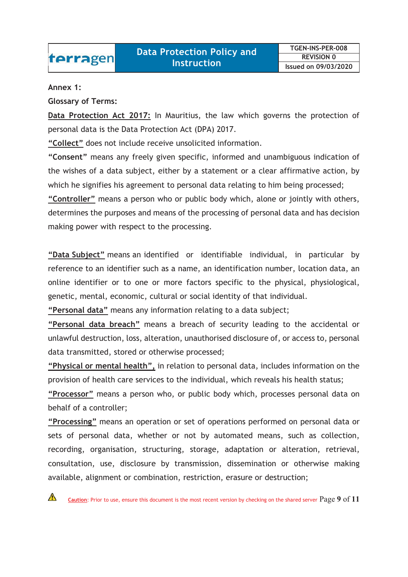### **Annex 1:**

**Glossary of Terms:** 

**Data Protection Act 2017:** In Mauritius, the law which governs the protection of personal data is the Data Protection Act (DPA) 2017.

**"Collect"** does not include receive unsolicited information.

**"Consent"** means any freely given specific, informed and unambiguous indication of the wishes of a data subject, either by a statement or a clear affirmative action, by which he signifies his agreement to personal data relating to him being processed; **"Controller"** means a person who or public body which, alone or jointly with others, determines the purposes and means of the processing of personal data and has decision making power with respect to the processing.

**"Data Subject"** means an identified or identifiable individual, in particular by reference to an identifier such as a name, an identification number, location data, an online identifier or to one or more factors specific to the physical, physiological, genetic, mental, economic, cultural or social identity of that individual.

**"Personal data"** means any information relating to a data subject;

**"Personal data breach"** means a breach of security leading to the accidental or unlawful destruction, loss, alteration, unauthorised disclosure of, or access to, personal data transmitted, stored or otherwise processed;

**"Physical or mental health",** in relation to personal data, includes information on the provision of health care services to the individual, which reveals his health status;

**"Processor"** means a person who, or public body which, processes personal data on behalf of a controller;

**"Processing"** means an operation or set of operations performed on personal data or sets of personal data, whether or not by automated means, such as collection, recording, organisation, structuring, storage, adaptation or alteration, retrieval, consultation, use, disclosure by transmission, dissemination or otherwise making available, alignment or combination, restriction, erasure or destruction;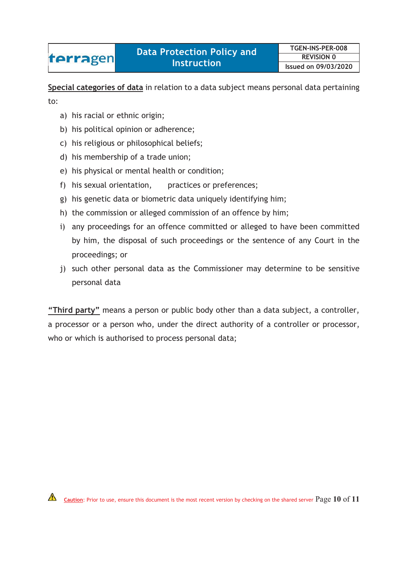**Special categories of data** in relation to a data subject means personal data pertaining

to:

- a) his racial or ethnic origin;
- b) his political opinion or adherence;
- c) his religious or philosophical beliefs;
- d) his membership of a trade union;
- e) his physical or mental health or condition;
- f) his sexual orientation, practices or preferences;
- g) his genetic data or biometric data uniquely identifying him;
- h) the commission or alleged commission of an offence by him;
- i) any proceedings for an offence committed or alleged to have been committed by him, the disposal of such proceedings or the sentence of any Court in the proceedings; or
- j) such other personal data as the Commissioner may determine to be sensitive personal data

**"Third party"** means a person or public body other than a data subject, a controller, a processor or a person who, under the direct authority of a controller or processor, who or which is authorised to process personal data;